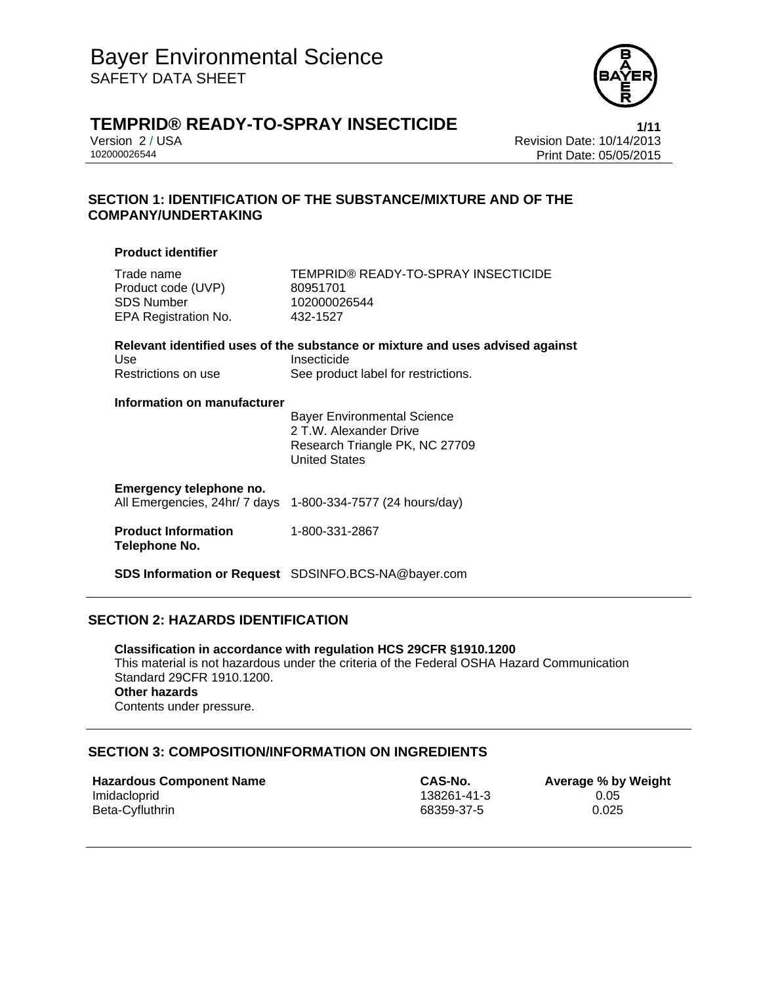

# **TEMPRID® READY-TO-SPRAY INSECTICIDE 1/11**

Version 2 / USA Revision Date: 10/14/2013 Print Date: 05/05/2015

#### **SECTION 1: IDENTIFICATION OF THE SUBSTANCE/MIXTURE AND OF THE COMPANY/UNDERTAKING**

#### **Product identifier**

| Trade name           | TEMPRID® READY-TO-SPRAY INSECTICIDE |
|----------------------|-------------------------------------|
| Product code (UVP)   | 80951701                            |
| SDS Number           | 102000026544                        |
| EPA Registration No. | 432-1527                            |
|                      |                                     |

|                     | Relevant identified uses of the substance or mixture and uses advised against |
|---------------------|-------------------------------------------------------------------------------|
| Use                 | Insecticide                                                                   |
| Restrictions on use | See product label for restrictions.                                           |

#### **Information on manufacturer**

 Bayer Environmental Science 2 T.W. Alexander Drive Research Triangle PK, NC 27709 United States

#### **Emergency telephone no.**

All Emergencies, 24hr/ 7 days 1-800-334-7577 (24 hours/day)

#### **Product Information Telephone No.**  1-800-331-2867

**SDS Information or Request** SDSINFO.BCS-NA@bayer.com

#### **SECTION 2: HAZARDS IDENTIFICATION**

**Classification in accordance with regulation HCS 29CFR §1910.1200**  This material is not hazardous under the criteria of the Federal OSHA Hazard Communication Standard 29CFR 1910.1200. **Other hazards**  Contents under pressure.

#### **SECTION 3: COMPOSITION/INFORMATION ON INGREDIENTS**

| <b>Hazardous Component Name</b> | CAS-No.     | Average % by Weight |
|---------------------------------|-------------|---------------------|
| Imidacloprid                    | 138261-41-3 | 0.05                |
| Beta-Cyfluthrin                 | 68359-37-5  | 0.025               |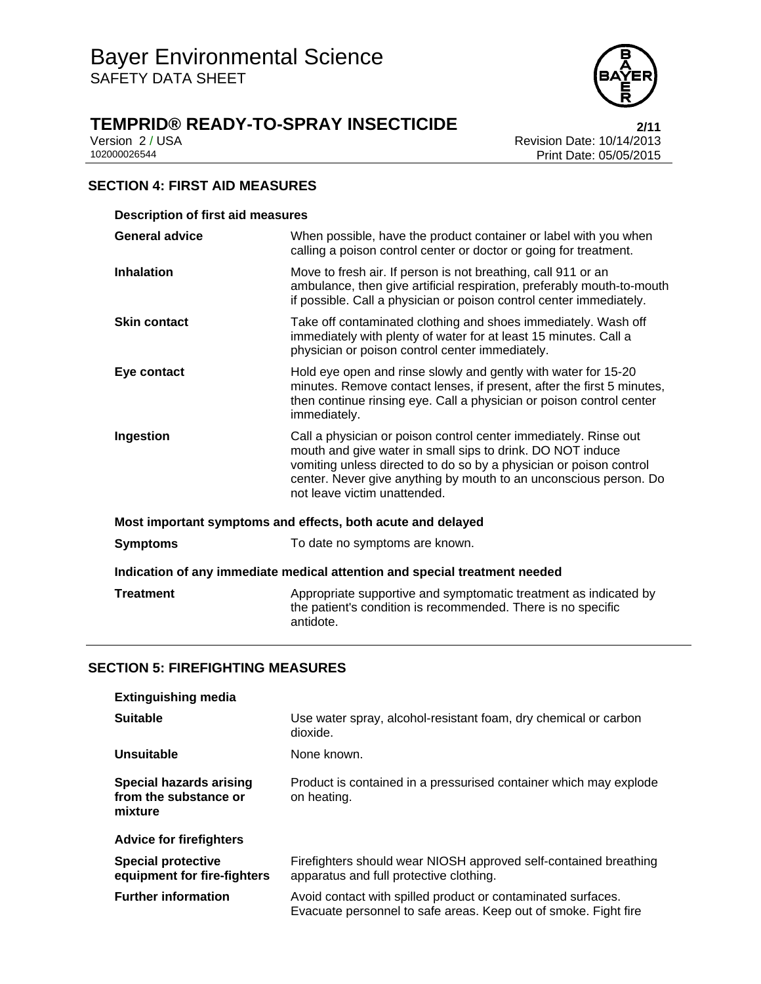

# **TEMPRID® READY-TO-SPRAY INSECTICIDE**<br>Version 2/USA<br>Revision Date: 10/14/2013

Version 2 / USA **Version 2 / USA Revision Date: 10/14/2013**<br>102000026544<br>Print Date: 05/05/2015 Print Date: 05/05/2015

#### **SECTION 4: FIRST AID MEASURES**

| <b>Description of first aid measures</b>                                   |                                                                                                                                                                                                                                                                                                           |  |
|----------------------------------------------------------------------------|-----------------------------------------------------------------------------------------------------------------------------------------------------------------------------------------------------------------------------------------------------------------------------------------------------------|--|
| <b>General advice</b>                                                      | When possible, have the product container or label with you when<br>calling a poison control center or doctor or going for treatment.                                                                                                                                                                     |  |
| <b>Inhalation</b>                                                          | Move to fresh air. If person is not breathing, call 911 or an<br>ambulance, then give artificial respiration, preferably mouth-to-mouth<br>if possible. Call a physician or poison control center immediately.                                                                                            |  |
| <b>Skin contact</b>                                                        | Take off contaminated clothing and shoes immediately. Wash off<br>immediately with plenty of water for at least 15 minutes. Call a<br>physician or poison control center immediately.                                                                                                                     |  |
| Eye contact                                                                | Hold eye open and rinse slowly and gently with water for 15-20<br>minutes. Remove contact lenses, if present, after the first 5 minutes,<br>then continue rinsing eye. Call a physician or poison control center<br>immediately.                                                                          |  |
| Ingestion                                                                  | Call a physician or poison control center immediately. Rinse out<br>mouth and give water in small sips to drink. DO NOT induce<br>vomiting unless directed to do so by a physician or poison control<br>center. Never give anything by mouth to an unconscious person. Do<br>not leave victim unattended. |  |
| Most important symptoms and effects, both acute and delayed                |                                                                                                                                                                                                                                                                                                           |  |
| <b>Symptoms</b>                                                            | To date no symptoms are known.                                                                                                                                                                                                                                                                            |  |
| Indication of any immediate medical attention and special treatment needed |                                                                                                                                                                                                                                                                                                           |  |
| <b>Treatment</b>                                                           | Appropriate supportive and symptomatic treatment as indicated by<br>the patient's condition is recommended. There is no specific<br>antidote.                                                                                                                                                             |  |

#### **SECTION 5: FIREFIGHTING MEASURES**

| <b>Extinguishing media</b>                                  |                                                                                                                                 |
|-------------------------------------------------------------|---------------------------------------------------------------------------------------------------------------------------------|
| <b>Suitable</b>                                             | Use water spray, alcohol-resistant foam, dry chemical or carbon<br>dioxide.                                                     |
| Unsuitable                                                  | None known.                                                                                                                     |
| Special hazards arising<br>from the substance or<br>mixture | Product is contained in a pressurised container which may explode<br>on heating.                                                |
| <b>Advice for firefighters</b>                              |                                                                                                                                 |
| <b>Special protective</b><br>equipment for fire-fighters    | Firefighters should wear NIOSH approved self-contained breathing<br>apparatus and full protective clothing.                     |
| <b>Further information</b>                                  | Avoid contact with spilled product or contaminated surfaces.<br>Evacuate personnel to safe areas. Keep out of smoke. Fight fire |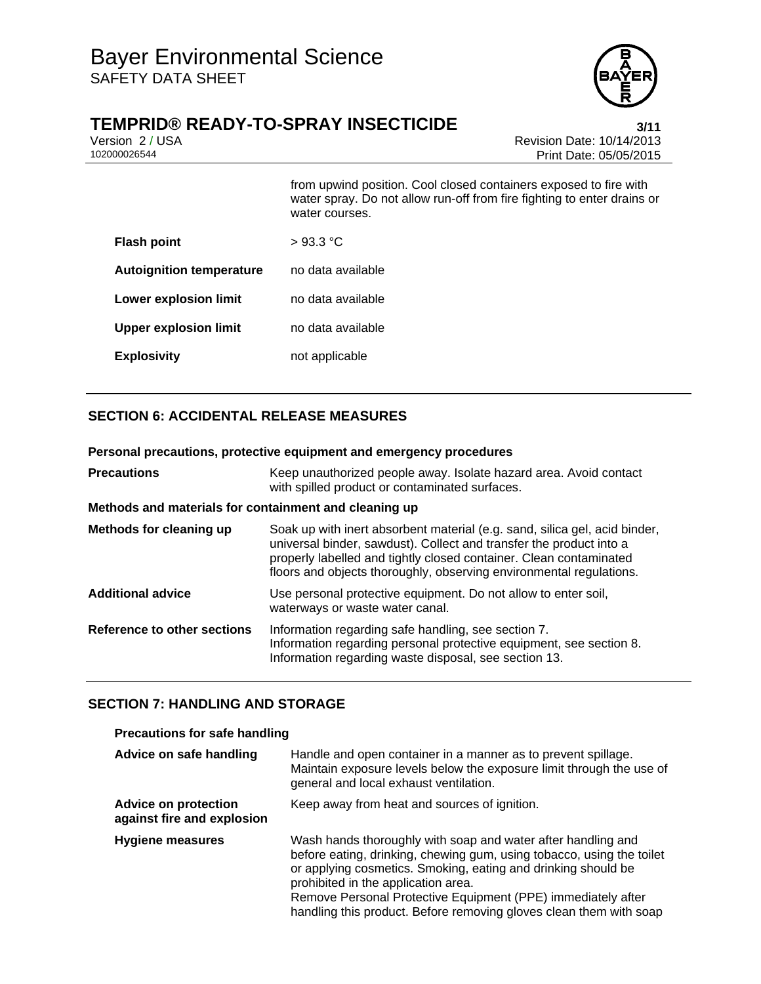

## **TEMPRID® READY-TO-SPRAY INSECTICIDE 3/11**

Version 2 / USA **Version 2 / USA Revision Date: 10/14/2013**<br>102000026544<br>Print Date: 05/05/2015 Print Date: 05/05/2015

from upwind position. Cool closed containers exposed to fire with water spray. Do not allow run-off from fire fighting to enter drains or water courses. **Flash point** > 93.3 °C

| <b>Flash point</b>              | $>$ 93.3 °C.      |
|---------------------------------|-------------------|
| <b>Autoignition temperature</b> | no data available |
| <b>Lower explosion limit</b>    | no data available |
| <b>Upper explosion limit</b>    | no data available |
| <b>Explosivity</b>              | not applicable    |

### **SECTION 6: ACCIDENTAL RELEASE MEASURES**

| Personal precautions, protective equipment and emergency procedures |                                                                                                                                                                                                                                                                                                |  |
|---------------------------------------------------------------------|------------------------------------------------------------------------------------------------------------------------------------------------------------------------------------------------------------------------------------------------------------------------------------------------|--|
| <b>Precautions</b>                                                  | Keep unauthorized people away. Isolate hazard area. Avoid contact<br>with spilled product or contaminated surfaces.                                                                                                                                                                            |  |
| Methods and materials for containment and cleaning up               |                                                                                                                                                                                                                                                                                                |  |
| Methods for cleaning up                                             | Soak up with inert absorbent material (e.g. sand, silica gel, acid binder,<br>universal binder, sawdust). Collect and transfer the product into a<br>properly labelled and tightly closed container. Clean contaminated<br>floors and objects thoroughly, observing environmental regulations. |  |
| <b>Additional advice</b>                                            | Use personal protective equipment. Do not allow to enter soil,<br>waterways or waste water canal.                                                                                                                                                                                              |  |
| Reference to other sections                                         | Information regarding safe handling, see section 7.<br>Information regarding personal protective equipment, see section 8.<br>Information regarding waste disposal, see section 13.                                                                                                            |  |

#### **SECTION 7: HANDLING AND STORAGE**

#### **Precautions for safe handling**

| Advice on safe handling                                   | Handle and open container in a manner as to prevent spillage.<br>Maintain exposure levels below the exposure limit through the use of<br>general and local exhaust ventilation.                                                                                                                                                                                                     |
|-----------------------------------------------------------|-------------------------------------------------------------------------------------------------------------------------------------------------------------------------------------------------------------------------------------------------------------------------------------------------------------------------------------------------------------------------------------|
| <b>Advice on protection</b><br>against fire and explosion | Keep away from heat and sources of ignition.                                                                                                                                                                                                                                                                                                                                        |
| Hygiene measures                                          | Wash hands thoroughly with soap and water after handling and<br>before eating, drinking, chewing gum, using tobacco, using the toilet<br>or applying cosmetics. Smoking, eating and drinking should be<br>prohibited in the application area.<br>Remove Personal Protective Equipment (PPE) immediately after<br>handling this product. Before removing gloves clean them with soap |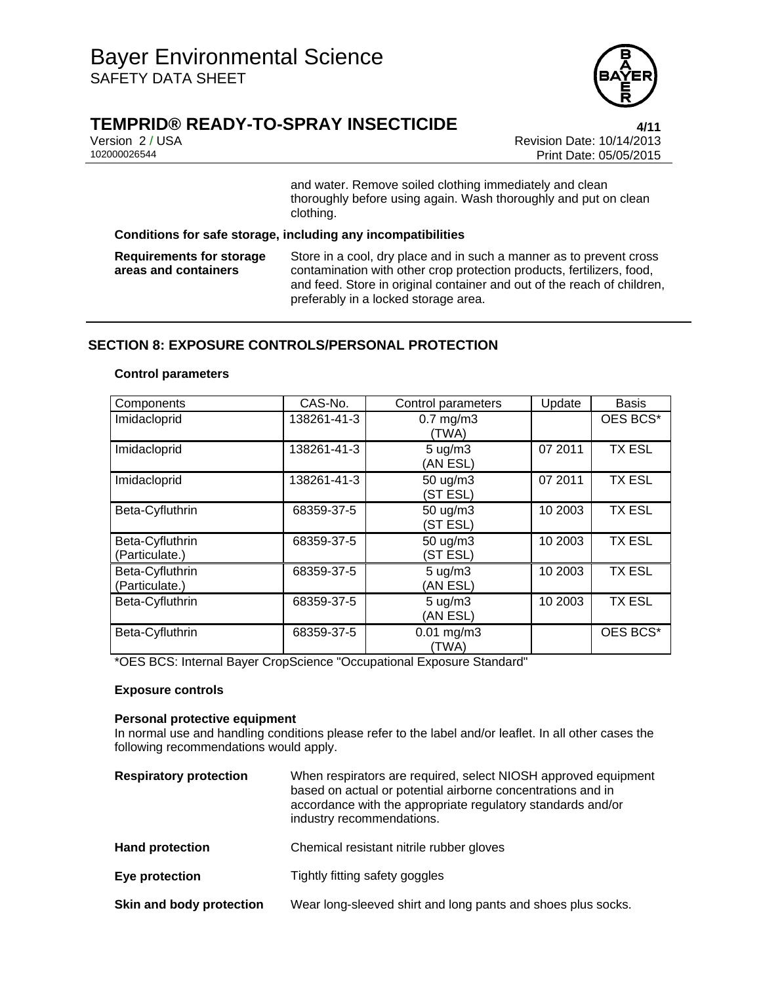

# **TEMPRID® READY-TO-SPRAY INSECTICIDE 4/11**

Version 2 / USA Revision Date: 10/14/2013 Print Date: 05/05/2015

> and water. Remove soiled clothing immediately and clean thoroughly before using again. Wash thoroughly and put on clean clothing.

**Conditions for safe storage, including any incompatibilities** 

**Requirements for storage areas and containers** Store in a cool, dry place and in such a manner as to prevent cross contamination with other crop protection products, fertilizers, food, and feed. Store in original container and out of the reach of children, preferably in a locked storage area.

#### **SECTION 8: EXPOSURE CONTROLS/PERSONAL PROTECTION**

#### **Control parameters**

| Components                        | CAS-No.     | Control parameters             | Update  | Basis         |
|-----------------------------------|-------------|--------------------------------|---------|---------------|
| Imidacloprid                      | 138261-41-3 | $0.7$ mg/m $3$<br>(TWA)        |         | OES BCS*      |
| Imidacloprid                      | 138261-41-3 | $5 \text{ ug/m}$ 3<br>(AN ESL) | 07 2011 | <b>TX ESL</b> |
| Imidacloprid                      | 138261-41-3 | 50 ug/m3<br>(ST ESL)           | 07 2011 | <b>TX ESL</b> |
| Beta-Cyfluthrin                   | 68359-37-5  | 50 ug/m3<br>(ST ESL)           | 10 2003 | <b>TX ESL</b> |
| Beta-Cyfluthrin<br>(Particulate.) | 68359-37-5  | 50 ug/m3<br>(ST ESL)           | 10 2003 | <b>TX ESL</b> |
| Beta-Cyfluthrin<br>(Particulate.) | 68359-37-5  | $5 \text{ ug/m}$ 3<br>(AN ESL) | 10 2003 | <b>TX ESL</b> |
| Beta-Cyfluthrin                   | 68359-37-5  | $5 \text{ ug/m}$ 3<br>(AN ESL) | 10 2003 | <b>TX ESL</b> |
| Beta-Cyfluthrin                   | 68359-37-5  | $0.01$ mg/m3<br>(TWA)          |         | OES BCS*      |

\*OES BCS: Internal Bayer CropScience "Occupational Exposure Standard"

#### **Exposure controls**

#### **Personal protective equipment**

In normal use and handling conditions please refer to the label and/or leaflet. In all other cases the following recommendations would apply.

| <b>Respiratory protection</b> | When respirators are required, select NIOSH approved equipment<br>based on actual or potential airborne concentrations and in<br>accordance with the appropriate regulatory standards and/or<br>industry recommendations. |
|-------------------------------|---------------------------------------------------------------------------------------------------------------------------------------------------------------------------------------------------------------------------|
| <b>Hand protection</b>        | Chemical resistant nitrile rubber gloves                                                                                                                                                                                  |
| Eye protection                | Tightly fitting safety goggles                                                                                                                                                                                            |
| Skin and body protection      | Wear long-sleeved shirt and long pants and shoes plus socks.                                                                                                                                                              |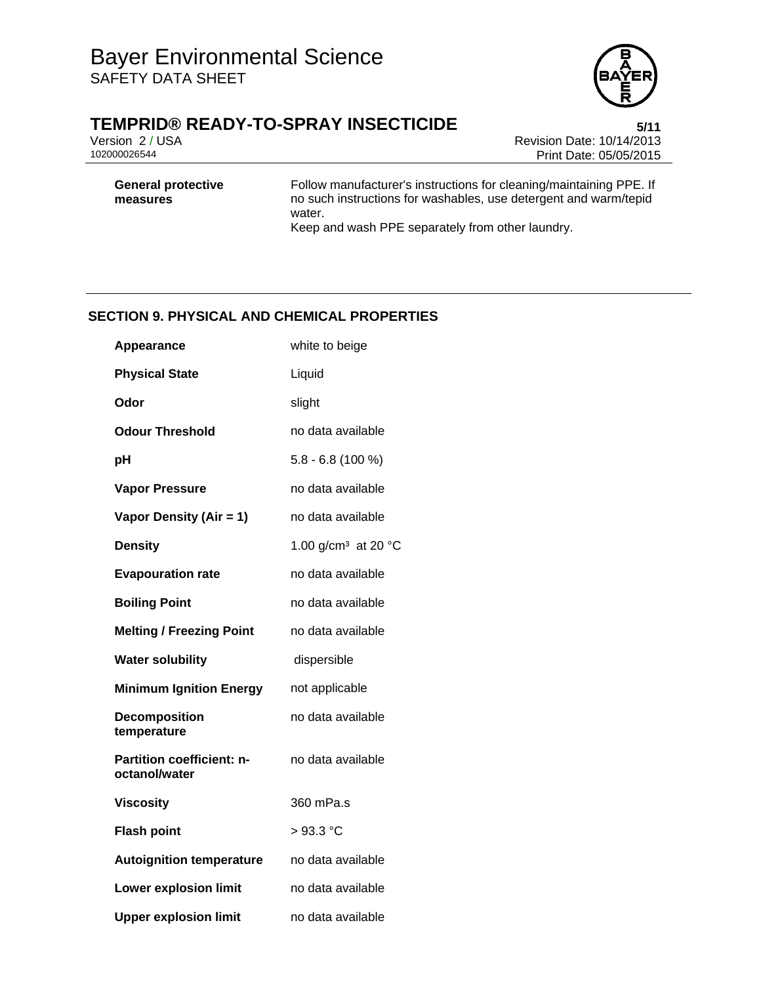

# **TEMPRID® READY-TO-SPRAY INSECTICIDE**<br>Version 2/USA<br>Revision Date: 10/14/2013

Version 2 / USA **Version 2 / USA Revision Date: 10/14/2013**<br>102000026544<br>Print Date: 05/05/2015 Print Date: 05/05/2015

**General protective measures**

Follow manufacturer's instructions for cleaning/maintaining PPE. If no such instructions for washables, use detergent and warm/tepid water.

Keep and wash PPE separately from other laundry.

#### **SECTION 9. PHYSICAL AND CHEMICAL PROPERTIES**

| <b>Appearance</b>                                 | white to beige                  |
|---------------------------------------------------|---------------------------------|
| <b>Physical State</b>                             | Liquid                          |
| Odor                                              | slight                          |
| <b>Odour Threshold</b>                            | no data available               |
| рH                                                | $5.8 - 6.8$ (100 %)             |
| <b>Vapor Pressure</b>                             | no data available               |
| Vapor Density (Air = 1)                           | no data available               |
| <b>Density</b>                                    | 1.00 g/cm <sup>3</sup> at 20 °C |
| <b>Evapouration rate</b>                          | no data available               |
| <b>Boiling Point</b>                              | no data available               |
| <b>Melting / Freezing Point</b>                   | no data available               |
| <b>Water solubility</b>                           | dispersible                     |
| <b>Minimum Ignition Energy</b>                    | not applicable                  |
| <b>Decomposition</b><br>temperature               | no data available               |
| <b>Partition coefficient: n-</b><br>octanol/water | no data available               |
| <b>Viscosity</b>                                  | 360 mPa.s                       |
| <b>Flash point</b>                                | $>93.3$ °C                      |
| <b>Autoignition temperature</b>                   | no data available               |
| <b>Lower explosion limit</b>                      | no data available               |
| <b>Upper explosion limit</b>                      | no data available               |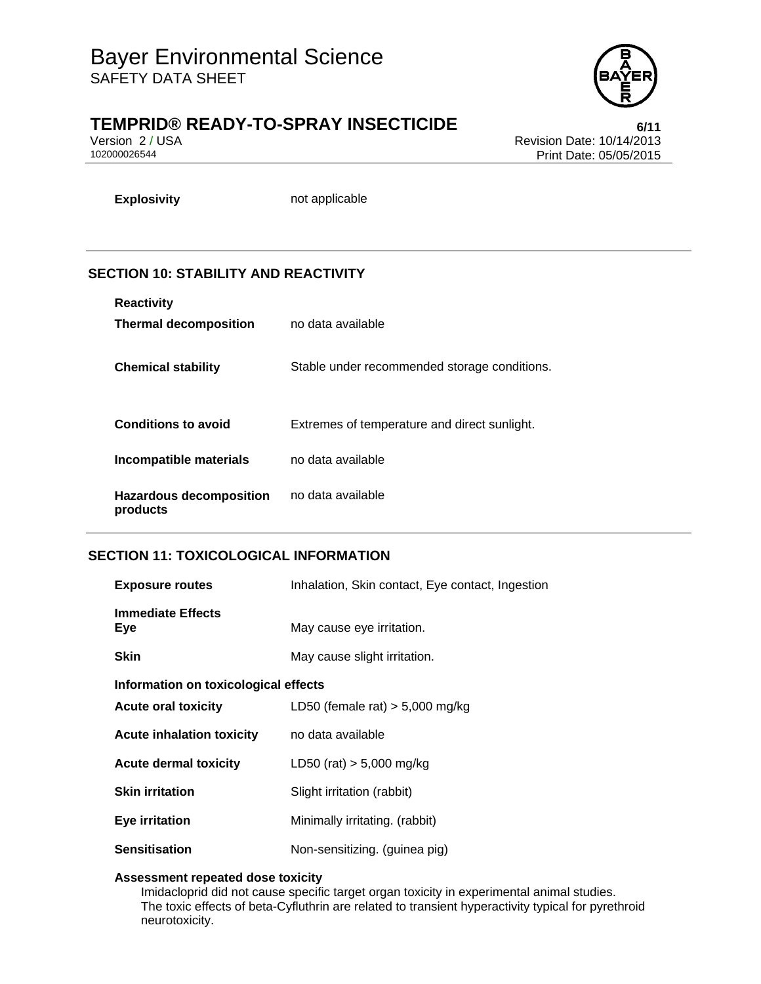

# **TEMPRID® READY-TO-SPRAY INSECTICIDE 6/11**

Version 2 / USA **Version 2 / USA Revision Date: 10/14/2013**<br>102000026544<br>Print Date: 05/05/2015 Print Date: 05/05/2015

**Explosivity** not applicable

### **SECTION 10: STABILITY AND REACTIVITY**

| <b>Reactivity</b>                          |                                              |
|--------------------------------------------|----------------------------------------------|
| <b>Thermal decomposition</b>               | no data available                            |
|                                            |                                              |
| <b>Chemical stability</b>                  | Stable under recommended storage conditions. |
|                                            |                                              |
| <b>Conditions to avoid</b>                 | Extremes of temperature and direct sunlight. |
| Incompatible materials                     | no data available                            |
| <b>Hazardous decomposition</b><br>products | no data available                            |

#### **SECTION 11: TOXICOLOGICAL INFORMATION**

| <b>Exposure routes</b>                                                                                  | Inhalation, Skin contact, Eye contact, Ingestion |
|---------------------------------------------------------------------------------------------------------|--------------------------------------------------|
| <b>Immediate Effects</b><br>Eye                                                                         | May cause eye irritation.                        |
| <b>Skin</b>                                                                                             | May cause slight irritation.                     |
| Information on toxicological effects<br>LD50 (female rat) $> 5,000$ mg/kg<br><b>Acute oral toxicity</b> |                                                  |
| <b>Acute inhalation toxicity</b>                                                                        | no data available                                |
| <b>Acute dermal toxicity</b>                                                                            | LD50 (rat) $> 5,000$ mg/kg                       |
| <b>Skin irritation</b>                                                                                  | Slight irritation (rabbit)                       |
| <b>Eye irritation</b>                                                                                   | Minimally irritating. (rabbit)                   |
| <b>Sensitisation</b>                                                                                    | Non-sensitizing. (guinea pig)                    |

#### **Assessment repeated dose toxicity**

Imidacloprid did not cause specific target organ toxicity in experimental animal studies. The toxic effects of beta-Cyfluthrin are related to transient hyperactivity typical for pyrethroid neurotoxicity.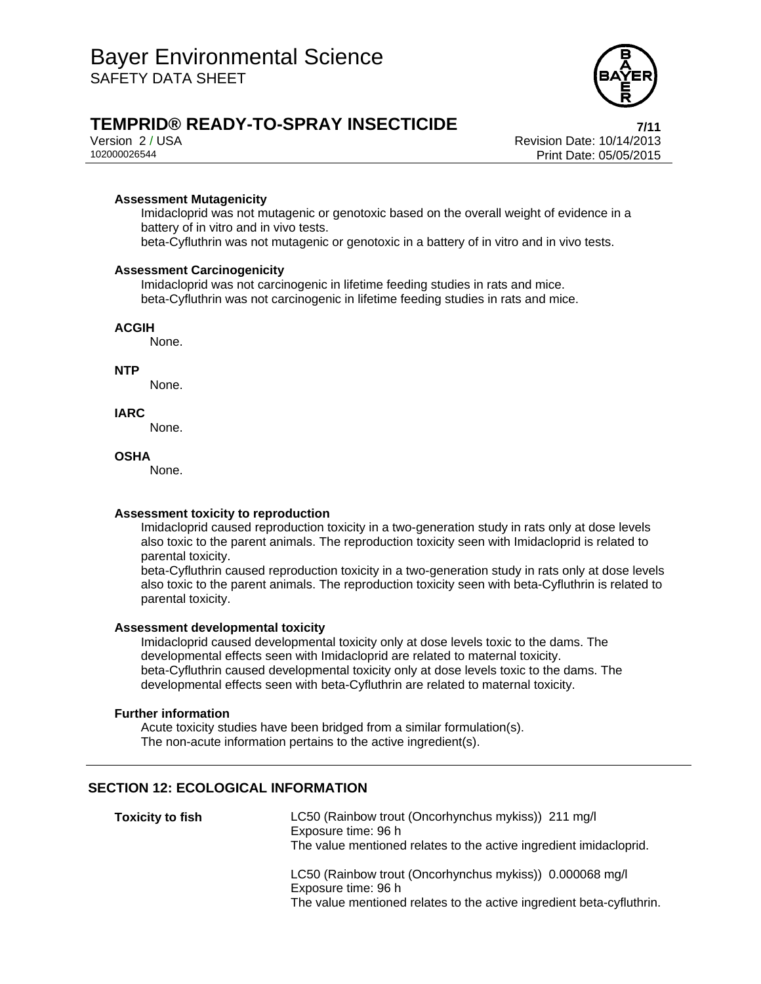

# **TEMPRID® READY-TO-SPRAY INSECTICIDE 7/11**

Version 2 / USA Revision Date: 10/14/2013 Print Date: 05/05/2015

#### **Assessment Mutagenicity**

Imidacloprid was not mutagenic or genotoxic based on the overall weight of evidence in a battery of in vitro and in vivo tests.

beta-Cyfluthrin was not mutagenic or genotoxic in a battery of in vitro and in vivo tests.

#### **Assessment Carcinogenicity**

Imidacloprid was not carcinogenic in lifetime feeding studies in rats and mice. beta-Cyfluthrin was not carcinogenic in lifetime feeding studies in rats and mice.

#### **ACGIH**

None.

#### **NTP**

None.

#### **IARC**

None.

#### **OSHA**

None.

#### **Assessment toxicity to reproduction**

Imidacloprid caused reproduction toxicity in a two-generation study in rats only at dose levels also toxic to the parent animals. The reproduction toxicity seen with Imidacloprid is related to parental toxicity.

beta-Cyfluthrin caused reproduction toxicity in a two-generation study in rats only at dose levels also toxic to the parent animals. The reproduction toxicity seen with beta-Cyfluthrin is related to parental toxicity.

#### **Assessment developmental toxicity**

Imidacloprid caused developmental toxicity only at dose levels toxic to the dams. The developmental effects seen with Imidacloprid are related to maternal toxicity. beta-Cyfluthrin caused developmental toxicity only at dose levels toxic to the dams. The developmental effects seen with beta-Cyfluthrin are related to maternal toxicity.

#### **Further information**

Acute toxicity studies have been bridged from a similar formulation(s). The non-acute information pertains to the active ingredient(s).

#### **SECTION 12: ECOLOGICAL INFORMATION**

| <b>Toxicity to fish</b> | LC50 (Rainbow trout (Oncorhynchus mykiss)) 211 mg/l<br>Exposure time: 96 h<br>The value mentioned relates to the active ingredient imidacloprid.         |
|-------------------------|----------------------------------------------------------------------------------------------------------------------------------------------------------|
|                         | LC50 (Rainbow trout (Oncorhynchus mykiss)) 0.000068 mg/l<br>Exposure time: 96 h<br>The value mentioned relates to the active ingredient beta-cyfluthrin. |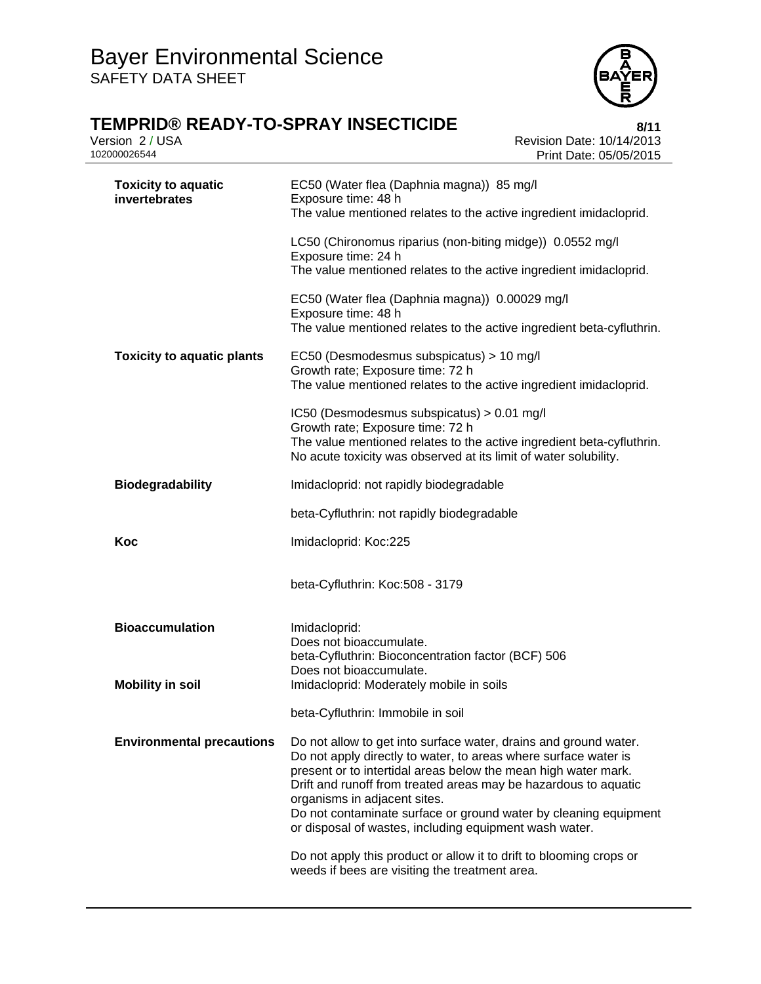

| <b>TEMPRID® READY-TO-SPRAY INSECTICIDE</b><br>Version 2 / USA<br>102000026544 | 8/11<br>Revision Date: 10/14/2013<br>Print Date: 05/05/2015                                                                                                                                                                                                                                                                                                                                                                            |
|-------------------------------------------------------------------------------|----------------------------------------------------------------------------------------------------------------------------------------------------------------------------------------------------------------------------------------------------------------------------------------------------------------------------------------------------------------------------------------------------------------------------------------|
| <b>Toxicity to aquatic</b><br>invertebrates                                   | EC50 (Water flea (Daphnia magna)) 85 mg/l<br>Exposure time: 48 h<br>The value mentioned relates to the active ingredient imidacloprid.                                                                                                                                                                                                                                                                                                 |
|                                                                               | LC50 (Chironomus riparius (non-biting midge)) 0.0552 mg/l<br>Exposure time: 24 h<br>The value mentioned relates to the active ingredient imidacloprid.                                                                                                                                                                                                                                                                                 |
|                                                                               | EC50 (Water flea (Daphnia magna)) 0.00029 mg/l<br>Exposure time: 48 h<br>The value mentioned relates to the active ingredient beta-cyfluthrin.                                                                                                                                                                                                                                                                                         |
| <b>Toxicity to aquatic plants</b>                                             | EC50 (Desmodesmus subspicatus) > 10 mg/l<br>Growth rate; Exposure time: 72 h<br>The value mentioned relates to the active ingredient imidacloprid.                                                                                                                                                                                                                                                                                     |
|                                                                               | IC50 (Desmodesmus subspicatus) > 0.01 mg/l<br>Growth rate; Exposure time: 72 h<br>The value mentioned relates to the active ingredient beta-cyfluthrin.<br>No acute toxicity was observed at its limit of water solubility.                                                                                                                                                                                                            |
| <b>Biodegradability</b>                                                       | Imidacloprid: not rapidly biodegradable                                                                                                                                                                                                                                                                                                                                                                                                |
|                                                                               | beta-Cyfluthrin: not rapidly biodegradable                                                                                                                                                                                                                                                                                                                                                                                             |
| Koc                                                                           | Imidacloprid: Koc:225                                                                                                                                                                                                                                                                                                                                                                                                                  |
|                                                                               | beta-Cyfluthrin: Koc:508 - 3179                                                                                                                                                                                                                                                                                                                                                                                                        |
| <b>Bioaccumulation</b><br><b>Mobility in soil</b>                             | Imidacloprid:<br>Does not bioaccumulate.<br>beta-Cyfluthrin: Bioconcentration factor (BCF) 506<br>Does not bioaccumulate.<br>Imidacloprid: Moderately mobile in soils                                                                                                                                                                                                                                                                  |
|                                                                               | beta-Cyfluthrin: Immobile in soil                                                                                                                                                                                                                                                                                                                                                                                                      |
| <b>Environmental precautions</b>                                              | Do not allow to get into surface water, drains and ground water.<br>Do not apply directly to water, to areas where surface water is<br>present or to intertidal areas below the mean high water mark.<br>Drift and runoff from treated areas may be hazardous to aquatic<br>organisms in adjacent sites.<br>Do not contaminate surface or ground water by cleaning equipment<br>or disposal of wastes, including equipment wash water. |
|                                                                               | Do not apply this product or allow it to drift to blooming crops or<br>weeds if bees are visiting the treatment area.                                                                                                                                                                                                                                                                                                                  |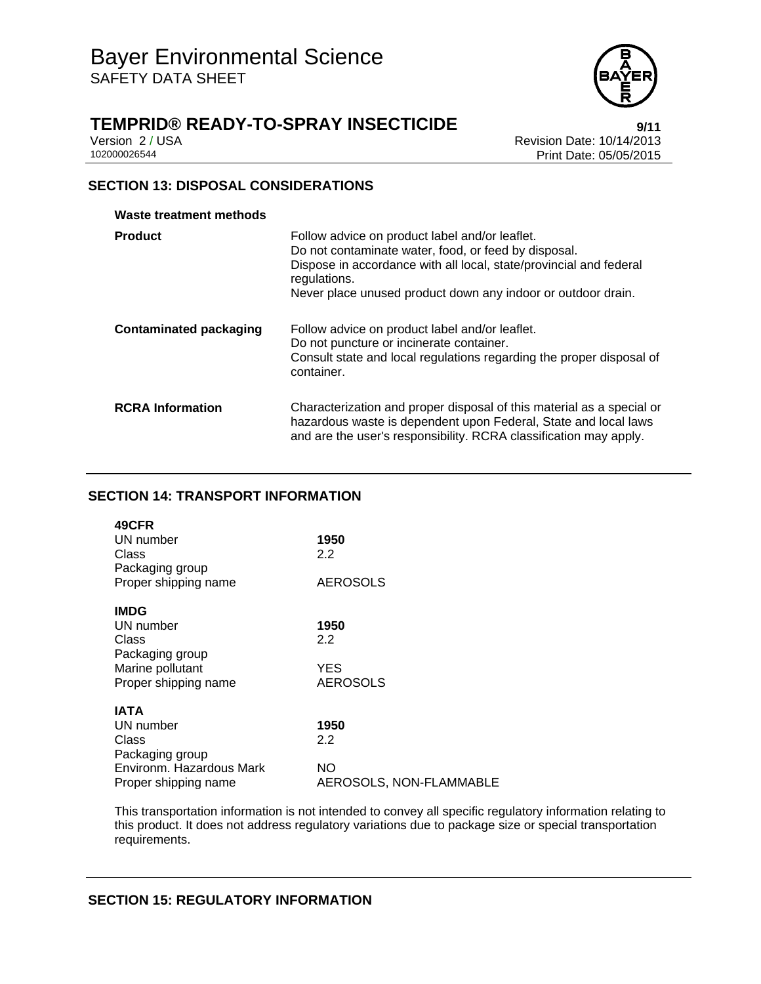

# **TEMPRID® READY-TO-SPRAY INSECTICIDE 19/11**

Version 2 / USA **Version 2 / USA Revision Date: 10/14/2013**<br>102000026544<br>Print Date: 05/05/2015 Print Date: 05/05/2015

#### **SECTION 13: DISPOSAL CONSIDERATIONS**

| Waste treatment methods       |                                                                                                                                                                                                                                                              |
|-------------------------------|--------------------------------------------------------------------------------------------------------------------------------------------------------------------------------------------------------------------------------------------------------------|
| <b>Product</b>                | Follow advice on product label and/or leaflet.<br>Do not contaminate water, food, or feed by disposal.<br>Dispose in accordance with all local, state/provincial and federal<br>regulations.<br>Never place unused product down any indoor or outdoor drain. |
| <b>Contaminated packaging</b> | Follow advice on product label and/or leaflet.<br>Do not puncture or incinerate container.<br>Consult state and local regulations regarding the proper disposal of<br>container.                                                                             |
| <b>RCRA</b> Information       | Characterization and proper disposal of this material as a special or<br>hazardous waste is dependent upon Federal, State and local laws<br>and are the user's responsibility. RCRA classification may apply.                                                |

#### **SECTION 14: TRANSPORT INFORMATION**

| 49CFR                    |                         |
|--------------------------|-------------------------|
| UN number                | 1950                    |
| Class                    | 2.2                     |
| Packaging group          |                         |
| Proper shipping name     | <b>AEROSOLS</b>         |
| <b>IMDG</b>              |                         |
|                          |                         |
| UN number                | 1950                    |
| Class                    | 2.2                     |
| Packaging group          |                         |
| Marine pollutant         | <b>YES</b>              |
| Proper shipping name     | <b>AEROSOLS</b>         |
|                          |                         |
| <b>IATA</b>              |                         |
| UN number                | 1950                    |
| Class                    | 2.2                     |
| Packaging group          |                         |
| Environm. Hazardous Mark | NO.                     |
| Proper shipping name     | AEROSOLS, NON-FLAMMABLE |

This transportation information is not intended to convey all specific regulatory information relating to this product. It does not address regulatory variations due to package size or special transportation requirements.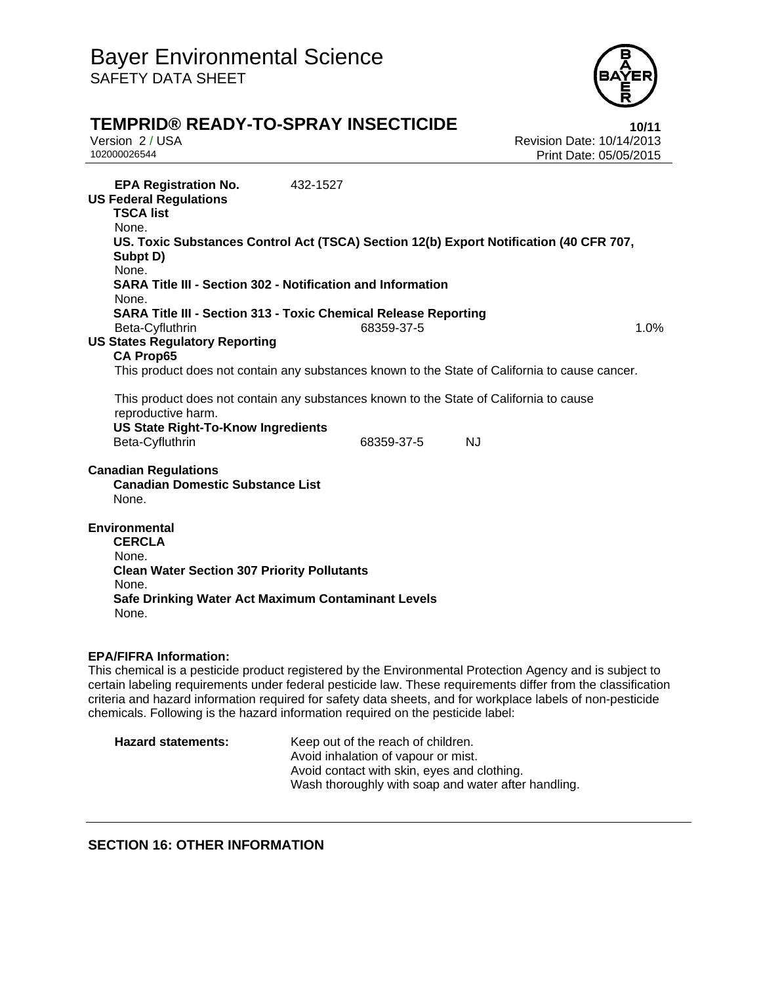

# **TEMPRID® READY-TO-SPRAY INSECTICIDE 10/11**

Version 2 / USA Revision Date: 10/14/2013 Print Date: 05/05/2015

**EPA Registration No.** 432-1527 **US Federal Regulations TSCA list** None. **US. Toxic Substances Control Act (TSCA) Section 12(b) Export Notification (40 CFR 707, Subpt D)** None. **SARA Title III - Section 302 - Notification and Information** None. **SARA Title III - Section 313 - Toxic Chemical Release Reporting** Beta-Cyfluthrin 1.0% **68359-37-5** 1.0% **US States Regulatory Reporting CA Prop65** This product does not contain any substances known to the State of California to cause cancer. This product does not contain any substances known to the State of California to cause reproductive harm. **US State Right-To-Know Ingredients** Beta-Cyfluthrin 68359-37-5 NJ **Canadian Regulations Canadian Domestic Substance List**  None. **Environmental CERCLA**  None. **Clean Water Section 307 Priority Pollutants**  None. **Safe Drinking Water Act Maximum Contaminant Levels**  None. **EPA/FIFRA Information:** This chemical is a pesticide product registered by the Environmental Protection Agency and is subject to certain labeling requirements under federal pesticide law. These requirements differ from the classification

criteria and hazard information required for safety data sheets, and for workplace labels of non-pesticide chemicals. Following is the hazard information required on the pesticide label: **Hazard statements:** Keep out of the reach of children.

| ard statements: | Keep out of the reach of children.                  |
|-----------------|-----------------------------------------------------|
|                 | Avoid inhalation of vapour or mist.                 |
|                 | Avoid contact with skin, eyes and clothing.         |
|                 | Wash thoroughly with soap and water after handling. |
|                 |                                                     |

#### **SECTION 16: OTHER INFORMATION**